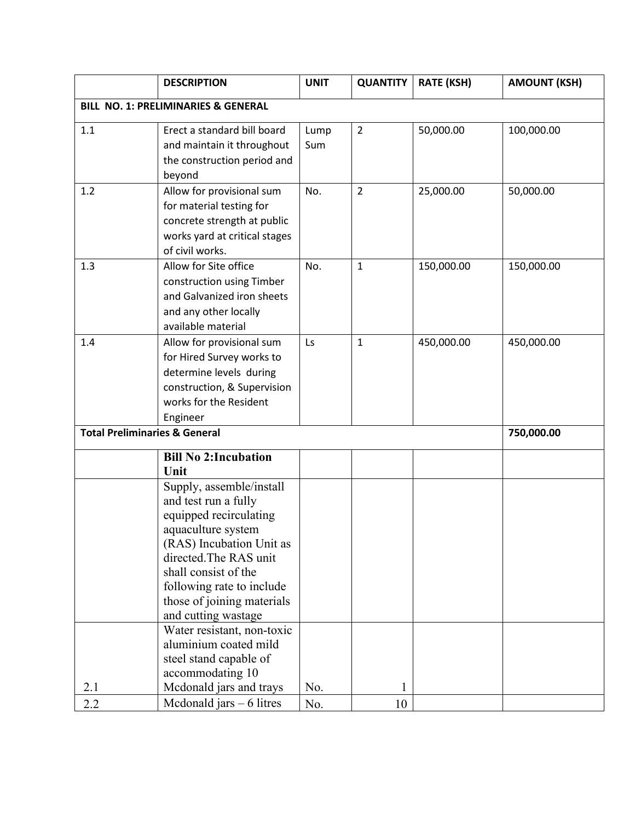|                                          | <b>DESCRIPTION</b>                                                                                                                                                                                                                                               | <b>UNIT</b> | <b>QUANTITY</b> | <b>RATE (KSH)</b> | <b>AMOUNT (KSH)</b> |  |
|------------------------------------------|------------------------------------------------------------------------------------------------------------------------------------------------------------------------------------------------------------------------------------------------------------------|-------------|-----------------|-------------------|---------------------|--|
| BILL NO. 1: PRELIMINARIES & GENERAL      |                                                                                                                                                                                                                                                                  |             |                 |                   |                     |  |
| 1.1                                      | Erect a standard bill board<br>and maintain it throughout<br>the construction period and<br>beyond                                                                                                                                                               | Lump<br>Sum | $\overline{2}$  | 50,000.00         | 100,000.00          |  |
| 1.2                                      | Allow for provisional sum<br>for material testing for<br>concrete strength at public<br>works yard at critical stages<br>of civil works.                                                                                                                         | No.         | $\overline{2}$  | 25,000.00         | 50,000.00           |  |
| 1.3                                      | Allow for Site office<br>construction using Timber<br>and Galvanized iron sheets<br>and any other locally<br>available material                                                                                                                                  | No.         | $\mathbf{1}$    | 150,000.00        | 150,000.00          |  |
| 1.4                                      | Allow for provisional sum<br>for Hired Survey works to<br>determine levels during<br>construction, & Supervision<br>works for the Resident<br>Engineer                                                                                                           | Ls          | 1               | 450,000.00        | 450,000.00          |  |
| <b>Total Preliminaries &amp; General</b> |                                                                                                                                                                                                                                                                  |             |                 |                   | 750,000.00          |  |
|                                          | <b>Bill No 2: Incubation</b><br>Unit                                                                                                                                                                                                                             |             |                 |                   |                     |  |
|                                          | Supply, assemble/install<br>and test run a fully<br>equipped recirculating<br>aquaculture system<br>(RAS) Incubation Unit as<br>directed. The RAS unit<br>shall consist of the<br>following rate to include<br>those of joining materials<br>and cutting wastage |             |                 |                   |                     |  |
| 2.1                                      | Water resistant, non-toxic<br>aluminium coated mild<br>steel stand capable of<br>accommodating 10<br>Mcdonald jars and trays                                                                                                                                     | No.         | 1               |                   |                     |  |
| 2.2                                      | Mcdonald jars $-6$ litres                                                                                                                                                                                                                                        | No.         | 10              |                   |                     |  |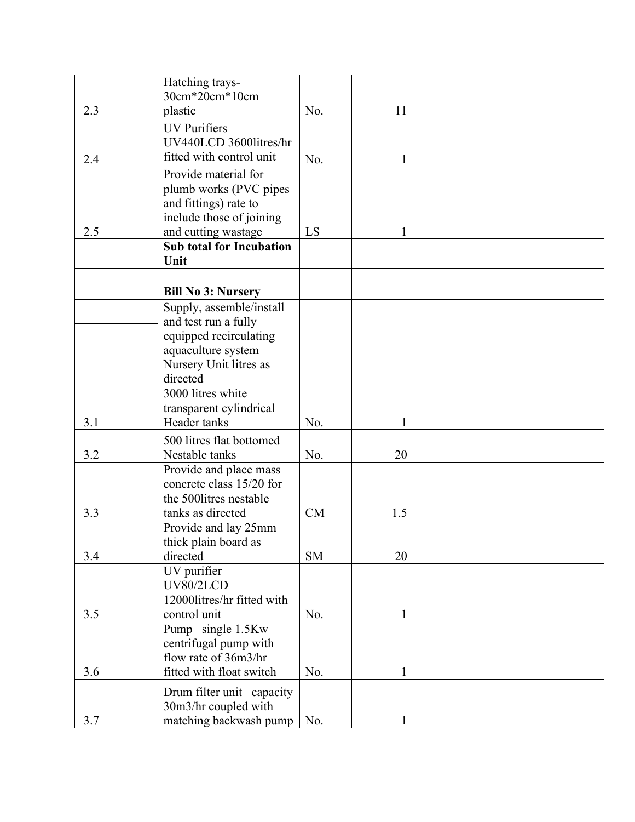|     | Hatching trays-<br>30cm*20cm*10cm                      |           |     |  |
|-----|--------------------------------------------------------|-----------|-----|--|
| 2.3 | plastic                                                | No.       | 11  |  |
|     |                                                        |           |     |  |
|     | UV Purifiers -                                         |           |     |  |
|     | UV440LCD 36001itres/hr                                 |           |     |  |
| 2.4 | fitted with control unit                               | No.       | 1   |  |
|     | Provide material for                                   |           |     |  |
|     | plumb works (PVC pipes                                 |           |     |  |
|     | and fittings) rate to                                  |           |     |  |
| 2.5 | include those of joining                               | LS        | 1   |  |
|     | and cutting wastage<br><b>Sub total for Incubation</b> |           |     |  |
|     | Unit                                                   |           |     |  |
|     |                                                        |           |     |  |
|     | <b>Bill No 3: Nursery</b>                              |           |     |  |
|     | Supply, assemble/install                               |           |     |  |
|     | and test run a fully                                   |           |     |  |
|     | equipped recirculating                                 |           |     |  |
|     | aquaculture system                                     |           |     |  |
|     | Nursery Unit litres as                                 |           |     |  |
|     | directed                                               |           |     |  |
|     | 3000 litres white                                      |           |     |  |
|     | transparent cylindrical                                |           |     |  |
| 3.1 | Header tanks                                           | No.       |     |  |
|     | 500 litres flat bottomed                               |           |     |  |
| 3.2 | Nestable tanks                                         | No.       | 20  |  |
|     | Provide and place mass<br>concrete class 15/20 for     |           |     |  |
|     | the 5001itres nestable                                 |           |     |  |
| 3.3 | tanks as directed                                      | CM        | 1.5 |  |
|     | Provide and lay 25mm                                   |           |     |  |
|     | thick plain board as                                   |           |     |  |
| 3.4 | directed                                               | <b>SM</b> | 20  |  |
|     | $UV$ purifier $-$                                      |           |     |  |
|     | UV80/2LCD                                              |           |     |  |
|     | 12000litres/hr fitted with                             |           |     |  |
| 3.5 | control unit                                           | No.       | 1   |  |
|     | Pump-single 1.5Kw                                      |           |     |  |
|     | centrifugal pump with                                  |           |     |  |
|     | flow rate of 36m3/hr                                   |           |     |  |
| 3.6 | fitted with float switch                               | No.       | 1   |  |
|     | Drum filter unit-capacity                              |           |     |  |
|     | 30m3/hr coupled with                                   |           |     |  |
| 3.7 | matching backwash pump                                 | No.       |     |  |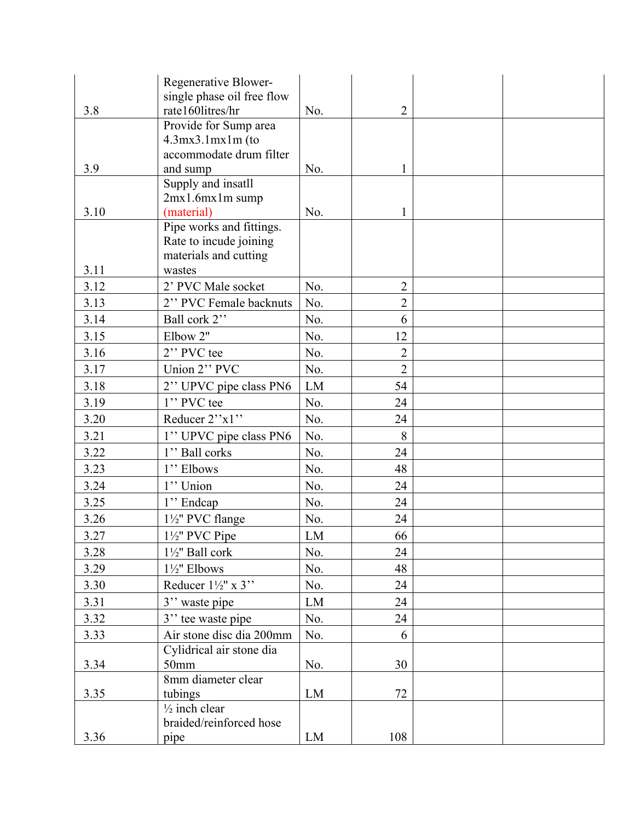|      | Regenerative Blower-           |     |                |  |
|------|--------------------------------|-----|----------------|--|
|      | single phase oil free flow     |     |                |  |
| 3.8  | rate160litres/hr               | No. | $\overline{2}$ |  |
|      | Provide for Sump area          |     |                |  |
|      | $4.3mx3.1mx1m$ (to             |     |                |  |
| 3.9  | accommodate drum filter        |     |                |  |
|      | and sump<br>Supply and insatll | No. | 1              |  |
|      | $2mx1.6mx1m$ sump              |     |                |  |
| 3.10 | (material)                     | No. | 1              |  |
|      | Pipe works and fittings.       |     |                |  |
|      | Rate to incude joining         |     |                |  |
|      | materials and cutting          |     |                |  |
| 3.11 | wastes                         |     |                |  |
| 3.12 | 2' PVC Male socket             | No. | $\overline{2}$ |  |
| 3.13 | 2" PVC Female backnuts         | No. | $\overline{2}$ |  |
| 3.14 | Ball cork 2"                   | No. | 6              |  |
| 3.15 | Elbow 2"                       | No. | 12             |  |
| 3.16 | 2" PVC tee                     | No. | $\overline{2}$ |  |
| 3.17 | Union 2" PVC                   | No. | $\overline{2}$ |  |
| 3.18 | 2" UPVC pipe class PN6         | LM  | 54             |  |
| 3.19 | 1" PVC tee                     | No. | 24             |  |
| 3.20 | Reducer 2"x1"                  | No. | 24             |  |
| 3.21 | 1" UPVC pipe class PN6         | No. | 8              |  |
| 3.22 | 1" Ball corks                  | No. | 24             |  |
| 3.23 | 1" Elbows                      | No. | 48             |  |
| 3.24 | 1" Union                       | No. | 24             |  |
| 3.25 | 1" Endcap                      | No. | 24             |  |
| 3.26 | 1½" PVC flange                 | No. | 24             |  |
| 3.27 | 11/2" PVC Pipe                 | LM  | 66             |  |
| 3.28 | $1\frac{1}{2}$ " Ball cork     | No. | 24             |  |
| 3.29 | 1½" Elbows                     | No. | 48             |  |
| 3.30 | Reducer $1\frac{1}{2}$ " x 3"  | No. | 24             |  |
| 3.31 | 3" waste pipe                  | LM  | 24             |  |
| 3.32 | 3" tee waste pipe              | No. | 24             |  |
| 3.33 | Air stone disc dia 200mm       | No. | 6              |  |
|      | Cylidrical air stone dia       |     |                |  |
| 3.34 | 50 <sub>mm</sub>               | No. | 30             |  |
|      | 8mm diameter clear             |     |                |  |
| 3.35 | tubings                        | LM  | 72             |  |
|      | $\frac{1}{2}$ inch clear       |     |                |  |
|      | braided/reinforced hose        |     |                |  |
| 3.36 | pipe                           | LM  | 108            |  |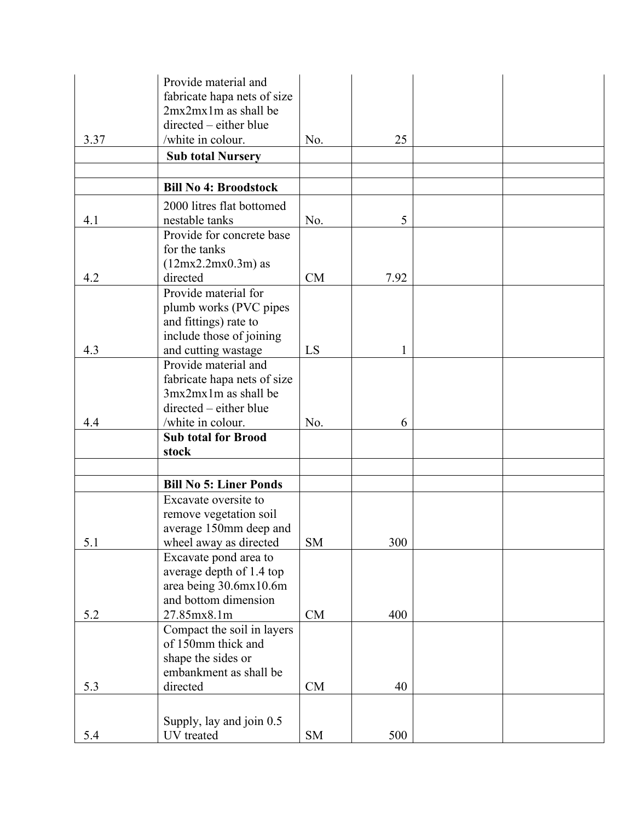|      | Provide material and<br>fabricate hapa nets of size |           |      |  |
|------|-----------------------------------------------------|-----------|------|--|
|      | $2mx2mx1m$ as shall be                              |           |      |  |
|      | directed – either blue                              |           |      |  |
| 3.37 | /white in colour.                                   | No.       | 25   |  |
|      | <b>Sub total Nursery</b>                            |           |      |  |
|      | <b>Bill No 4: Broodstock</b>                        |           |      |  |
|      | 2000 litres flat bottomed                           |           |      |  |
| 4.1  | nestable tanks                                      | No.       | 5    |  |
|      | Provide for concrete base                           |           |      |  |
|      | for the tanks                                       |           |      |  |
|      | $(12mx2.2mx0.3m)$ as                                |           |      |  |
| 4.2  | directed                                            | <b>CM</b> | 7.92 |  |
|      | Provide material for                                |           |      |  |
|      | plumb works (PVC pipes                              |           |      |  |
|      | and fittings) rate to<br>include those of joining   |           |      |  |
| 4.3  | and cutting wastage                                 | LS        | 1    |  |
|      | Provide material and                                |           |      |  |
|      | fabricate hapa nets of size                         |           |      |  |
|      | $3mx2mx1m$ as shall be                              |           |      |  |
|      | directed – either blue                              |           |      |  |
| 4.4  | /white in colour.                                   | No.       | 6    |  |
|      | <b>Sub total for Brood</b>                          |           |      |  |
|      | stock                                               |           |      |  |
|      |                                                     |           |      |  |
|      | <b>Bill No 5: Liner Ponds</b>                       |           |      |  |
|      | Excavate oversite to                                |           |      |  |
|      | remove vegetation soil<br>average 150mm deep and    |           |      |  |
| 5.1  | wheel away as directed                              | <b>SM</b> | 300  |  |
|      | Excavate pond area to                               |           |      |  |
|      | average depth of 1.4 top                            |           |      |  |
|      | area being 30.6mx10.6m                              |           |      |  |
|      | and bottom dimension                                |           |      |  |
| 5.2  | 27.85mx8.1m                                         | CM        | 400  |  |
|      | Compact the soil in layers<br>of 150mm thick and    |           |      |  |
|      | shape the sides or                                  |           |      |  |
|      | embankment as shall be                              |           |      |  |
| 5.3  | directed                                            | CM        | 40   |  |
|      |                                                     |           |      |  |
|      | Supply, lay and join 0.5                            |           |      |  |
| 5.4  | UV treated                                          | SM        | 500  |  |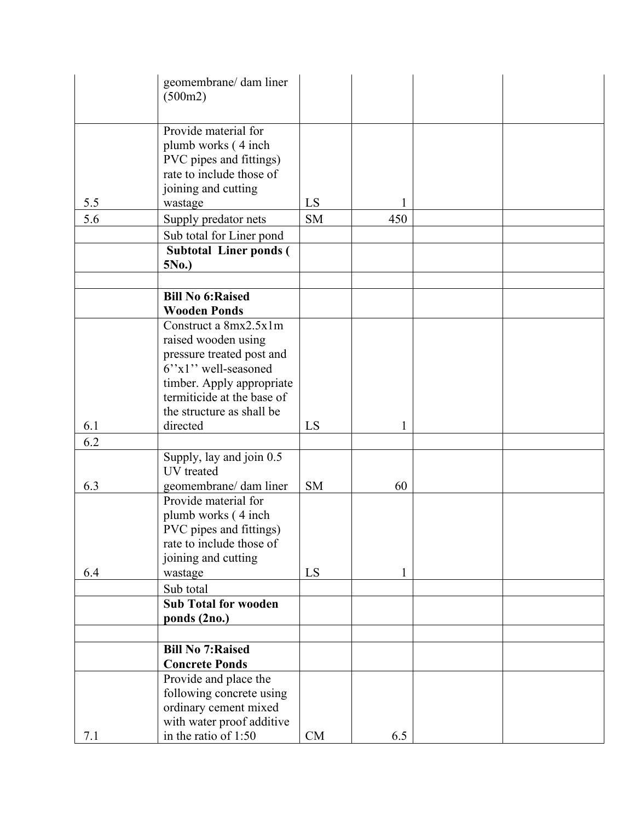|     | geomembrane/ dam liner<br>(500m2)                                                                                                                                                        |           |     |  |
|-----|------------------------------------------------------------------------------------------------------------------------------------------------------------------------------------------|-----------|-----|--|
|     |                                                                                                                                                                                          |           |     |  |
| 5.5 | Provide material for<br>plumb works (4 inch)<br>PVC pipes and fittings)<br>rate to include those of<br>joining and cutting<br>wastage                                                    | LS        | 1   |  |
| 5.6 | Supply predator nets                                                                                                                                                                     | <b>SM</b> | 450 |  |
|     | Sub total for Liner pond                                                                                                                                                                 |           |     |  |
|     | <b>Subtotal Liner ponds (</b><br>5No.)                                                                                                                                                   |           |     |  |
|     |                                                                                                                                                                                          |           |     |  |
|     | <b>Bill No 6: Raised</b><br><b>Wooden Ponds</b>                                                                                                                                          |           |     |  |
|     | Construct a 8mx2.5x1m<br>raised wooden using<br>pressure treated post and<br>6"x1" well-seasoned<br>timber. Apply appropriate<br>termiticide at the base of<br>the structure as shall be |           |     |  |
| 6.1 | directed                                                                                                                                                                                 | LS        | 1   |  |
| 6.2 |                                                                                                                                                                                          |           |     |  |
|     | Supply, lay and join 0.5<br>UV treated                                                                                                                                                   |           |     |  |
| 6.3 | geomembrane/ dam liner                                                                                                                                                                   | <b>SM</b> | 60  |  |
|     | Provide material for<br>plumb works (4 inch)<br>PVC pipes and fittings)<br>rate to include those of<br>joining and cutting                                                               |           |     |  |
| 6.4 | wastage                                                                                                                                                                                  | LS        | 1   |  |
|     | Sub total<br><b>Sub Total for wooden</b><br>ponds (2no.)                                                                                                                                 |           |     |  |
|     |                                                                                                                                                                                          |           |     |  |
|     | <b>Bill No 7: Raised</b><br><b>Concrete Ponds</b>                                                                                                                                        |           |     |  |
| 7.1 | Provide and place the<br>following concrete using<br>ordinary cement mixed<br>with water proof additive<br>in the ratio of 1:50                                                          | CM        | 6.5 |  |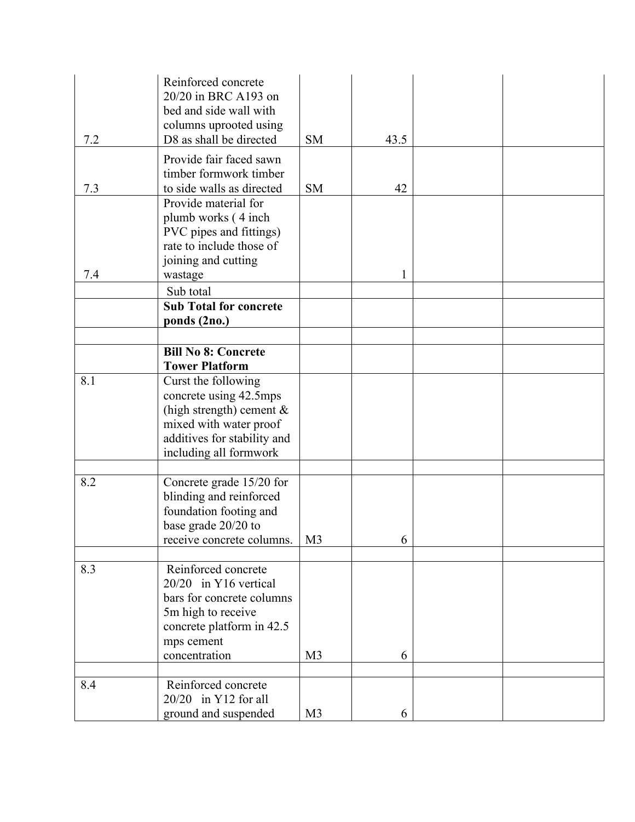| 7.2 | Reinforced concrete<br>20/20 in BRC A193 on<br>bed and side wall with<br>columns uprooted using<br>D8 as shall be directed | <b>SM</b>      | 43.5 |  |
|-----|----------------------------------------------------------------------------------------------------------------------------|----------------|------|--|
|     | Provide fair faced sawn                                                                                                    |                |      |  |
|     | timber formwork timber                                                                                                     |                |      |  |
| 7.3 | to side walls as directed                                                                                                  | <b>SM</b>      | 42   |  |
|     | Provide material for                                                                                                       |                |      |  |
|     | plumb works (4 inch)<br>PVC pipes and fittings)                                                                            |                |      |  |
|     | rate to include those of                                                                                                   |                |      |  |
|     | joining and cutting                                                                                                        |                |      |  |
| 7.4 | wastage                                                                                                                    |                | 1    |  |
|     | Sub total                                                                                                                  |                |      |  |
|     | <b>Sub Total for concrete</b>                                                                                              |                |      |  |
|     | ponds (2no.)                                                                                                               |                |      |  |
|     |                                                                                                                            |                |      |  |
|     | <b>Bill No 8: Concrete</b><br><b>Tower Platform</b>                                                                        |                |      |  |
| 8.1 | Curst the following                                                                                                        |                |      |  |
|     | concrete using 42.5mps                                                                                                     |                |      |  |
|     | (high strength) cement $\&$                                                                                                |                |      |  |
|     | mixed with water proof                                                                                                     |                |      |  |
|     | additives for stability and<br>including all formwork                                                                      |                |      |  |
|     |                                                                                                                            |                |      |  |
| 8.2 | Concrete grade 15/20 for                                                                                                   |                |      |  |
|     | blinding and reinforced                                                                                                    |                |      |  |
|     | foundation footing and                                                                                                     |                |      |  |
|     | base grade 20/20 to                                                                                                        |                |      |  |
|     | receive concrete columns.                                                                                                  | M <sub>3</sub> | O    |  |
| 8.3 | Reinforced concrete                                                                                                        |                |      |  |
|     | 20/20 in Y16 vertical                                                                                                      |                |      |  |
|     | bars for concrete columns                                                                                                  |                |      |  |
|     | 5m high to receive                                                                                                         |                |      |  |
|     | concrete platform in 42.5                                                                                                  |                |      |  |
|     | mps cement<br>concentration                                                                                                | M <sub>3</sub> | 6    |  |
|     |                                                                                                                            |                |      |  |
| 8.4 | Reinforced concrete                                                                                                        |                |      |  |
|     | $20/20$ in Y12 for all                                                                                                     |                |      |  |
|     | ground and suspended                                                                                                       | M <sub>3</sub> | 6    |  |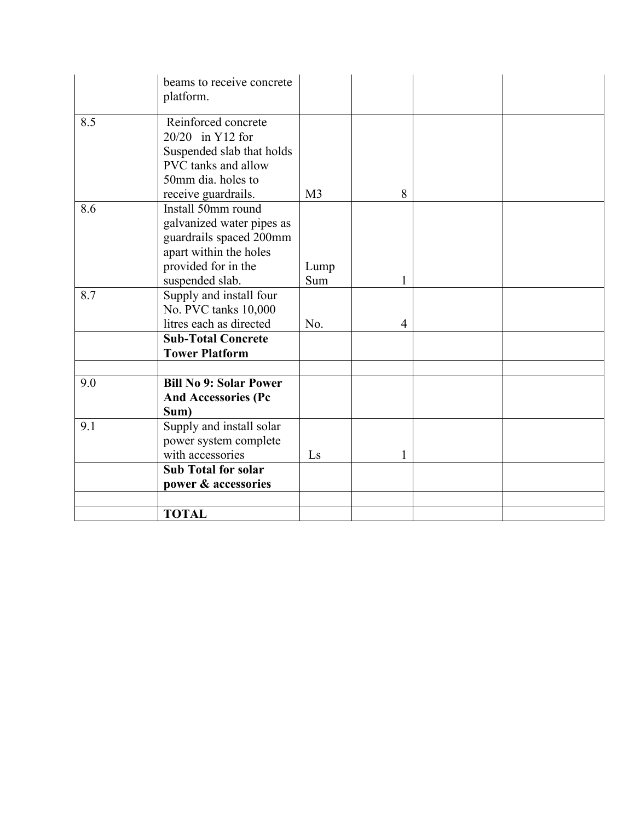|     | beams to receive concrete<br>platform.                                                                                      |                |   |  |
|-----|-----------------------------------------------------------------------------------------------------------------------------|----------------|---|--|
| 8.5 | Reinforced concrete<br>20/20 in Y12 for<br>Suspended slab that holds<br>PVC tanks and allow<br>50mm dia. holes to           |                |   |  |
|     | receive guardrails.                                                                                                         | M <sub>3</sub> | 8 |  |
| 8.6 | Install 50mm round<br>galvanized water pipes as<br>guardrails spaced 200mm<br>apart within the holes<br>provided for in the | Lump           |   |  |
|     | suspended slab.                                                                                                             | Sum            | 1 |  |
| 8.7 | Supply and install four<br>No. PVC tanks 10,000<br>litres each as directed                                                  | No.            | 4 |  |
|     | <b>Sub-Total Concrete</b><br><b>Tower Platform</b>                                                                          |                |   |  |
|     |                                                                                                                             |                |   |  |
| 9.0 | <b>Bill No 9: Solar Power</b><br><b>And Accessories (Pc</b><br>Sum)                                                         |                |   |  |
| 9.1 | Supply and install solar<br>power system complete<br>with accessories                                                       | Ls             |   |  |
|     | <b>Sub Total for solar</b><br>power & accessories                                                                           |                |   |  |
|     |                                                                                                                             |                |   |  |
|     | <b>TOTAL</b>                                                                                                                |                |   |  |